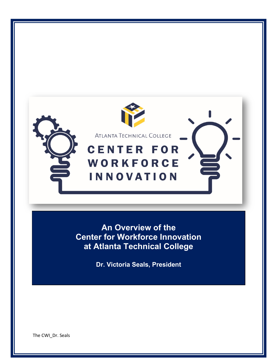

**An Overview of the Center for Workforce Innovation at Atlanta Technical College**

**Dr. Victoria Seals, President**

The CWI\_Dr. Seals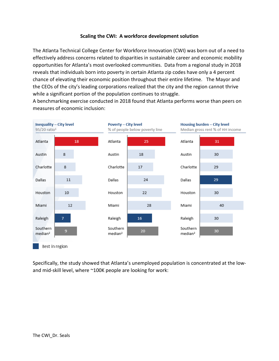### **Scaling the CWI: A workforce development solution**

The Atlanta Technical College Center for Workforce Innovation (CWI) was born out of a need to effectively address concerns related to disparities in sustainable career and economic mobility opportunities for Atlanta's most overlooked communities. Data from a regional study in 2018 reveals that individuals born into poverty in certain Atlanta zip codes have only a 4 percent chance of elevating their economic position throughout their entire lifetime. The Mayor and the CEOs of the city's leading corporations realized that the city and the region cannot thrive while a significant portion of the population continues to struggle.

A benchmarking exercise conducted in 2018 found that Atlanta performs worse than peers on measures of economic inclusion:



Specifically, the study showed that Atlanta's unemployed population is concentrated at the lowand mid-skill level, where ~100K people are looking for work: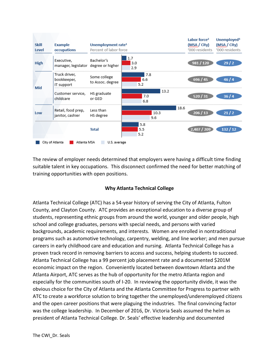

The review of employer needs determined that employers were having a difficult time finding suitable talent in key occupations. This disconnect confirmed the need for better matching of training opportunities with open positions.

## **Why Atlanta Technical College**

Atlanta Technical College (ATC) has a 54-year history of serving the City of Atlanta, Fulton County, and Clayton County. ATC provides an exceptional education to a diverse group of students, representing ethnic groups from around the world, younger and older people, high school and college graduates, persons with special needs, and persons with varied backgrounds, academic requirements, and interests. Women are enrolled in nontraditional programs such as automotive technology, carpentry, welding, and line worker; and men pursue careers in early childhood care and education and nursing. Atlanta Technical College has a proven track record in removing barriers to access and success, helping students to succeed. Atlanta Technical College has a 99 percent job placement rate and a documented \$201M economic impact on the region. Conveniently located between downtown Atlanta and the Atlanta Airport, ATC serves as the hub of opportunity for the metro Atlanta region and especially for the communities south of I-20. In reviewing the opportunity divide, it was the obvious choice for the City of Atlanta and the Atlanta Committee for Progress to partner with ATC to create a workforce solution to bring together the unemployed/underemployed citizens and the open career positions that were plaguing the industries. The final convincing factor was the college leadership. In December of 2016, Dr. Victoria Seals assumed the helm as president of Atlanta Technical College. Dr. Seals' effective leadership and documented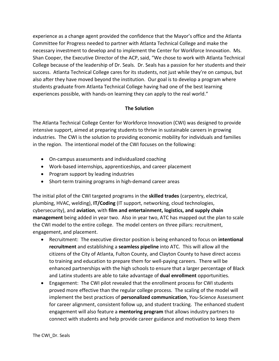experience as a change agent provided the confidence that the Mayor's office and the Atlanta Committee for Progress needed to partner with Atlanta Technical College and make the necessary investment to develop and to implement the Center for Workforce Innovation. Ms. Shan Cooper, the Executive Director of the ACP, said, "We chose to work with Atlanta Technical College because of the leadership of Dr. Seals. Dr. Seals has a passion for her students and their success. Atlanta Technical College cares for its students, not just while they're on campus, but also after they have moved beyond the institution. Our goal is to develop a program where students graduate from Atlanta Technical College having had one of the best learning experiences possible, with hands-on learning they can apply to the real world."

# **The Solution**

The Atlanta Technical College Center for Workforce Innovation (CWI) was designed to provide intensive support, aimed at preparing students to thrive in sustainable careers in growing industries. The CWI is the solution to providing economic mobility for individuals and families in the region. The intentional model of the CWI focuses on the following:

- On-campus assessments and individualized coaching
- Work-based internships, apprenticeships, and career placement
- Program support by leading industries
- Short-term training programs in high-demand career areas

The initial pilot of the CWI targeted programs in the **skilled trades** (carpentry, electrical, plumbing, HVAC, welding), **IT/Coding** (IT support, networking, cloud technologies, cybersecurity), and **aviation**, with **film and entertainment, logistics, and supply chain management** being added in year two. Also in year two, ATC has mapped out the plan to scale the CWI model to the entire college. The model centers on three pillars: recruitment, engagement, and placement.

- Recruitment: The executive director position is being enhanced to focus on **intentional recruitment** and establishing a **seamless pipeline** into ATC. This will allow all the citizens of the City of Atlanta, Fulton County, and Clayton County to have direct access to training and education to prepare them for well-paying careers. There will be enhanced partnerships with the high schools to ensure that a larger percentage of Black and Latinx students are able to take advantage of **dual enrollment** opportunities.
- Engagement: The CWI pilot revealed that the enrollment process for CWI students proved more effective than the regular college process. The scaling of the model will implement the best practices of **personalized communication**, You-Science Assessment for career alignment, consistent follow up, and student tracking. The enhanced student engagement will also feature a **mentoring program** that allows industry partners to connect with students and help provide career guidance and motivation to keep them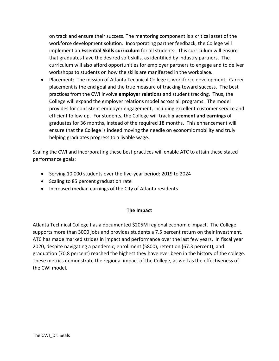on track and ensure their success. The mentoring component is a critical asset of the workforce development solution. Incorporating partner feedback, the College will implement an **Essential Skills curriculum** for all students. This curriculum will ensure that graduates have the desired soft skills, as identified by industry partners. The curriculum will also afford opportunities for employer partners to engage and to deliver workshops to students on how the skills are manifested in the workplace.

• Placement: The mission of Atlanta Technical College is workforce development. Career placement is the end goal and the true measure of tracking toward success. The best practices from the CWI involve **employer relations** and student tracking. Thus, the College will expand the employer relations model across all programs. The model provides for consistent employer engagement, including excellent customer service and efficient follow up. For students, the College will track **placement and earnings** of graduates for 36 months, instead of the required 18 months. This enhancement will ensure that the College is indeed moving the needle on economic mobility and truly helping graduates progress to a livable wage.

Scaling the CWI and incorporating these best practices will enable ATC to attain these stated performance goals:

- Serving 10,000 students over the five-year period: 2019 to 2024
- Scaling to 85 percent graduation rate
- Increased median earnings of the City of Atlanta residents

### **The Impact**

Atlanta Technical College has a documented \$205M regional economic impact. The College supports more than 3000 jobs and provides students a 7.5 percent return on their investment. ATC has made marked strides in impact and performance over the last few years. In fiscal year 2020, despite navigating a pandemic, enrollment (5800), retention (67.3 percent), and graduation (70.8 percent) reached the highest they have ever been in the history of the college. These metrics demonstrate the regional impact of the College, as well as the effectiveness of the CWI model.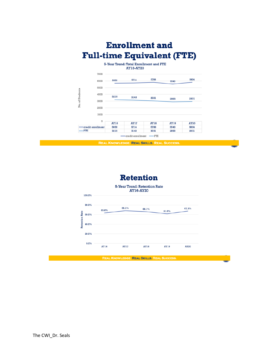

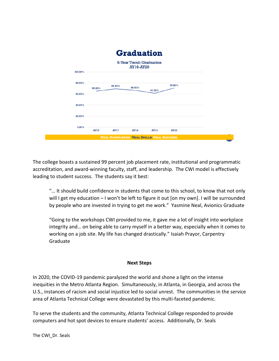

The college boasts a sustained 99 percent job placement rate, institutional and programmatic accreditation, and award-winning faculty, staff, and leadership. The CWI model is effectively leading to student success. The students say it best:

"… It should build confidence in students that come to this school, to know that not only will I get my education - I won't be left to figure it out [on my own]. I will be surrounded by people who are invested in trying to get me work." Yasmine Neal, Avionics Graduate

"Going to the workshops CWI provided to me, it gave me a lot of insight into workplace integrity and… on being able to carry myself in a better way, especially when it comes to working on a job site. My life has changed drastically." Isaiah Prayor, Carpentry Graduate

### **Next Steps**

In 2020, the COVID-19 pandemic paralyzed the world and shone a light on the intense inequities in the Metro Atlanta Region. Simultaneously, in Atlanta, in Georgia, and across the U.S., instances of racism and social injustice led to social unrest. The communities in the service area of Atlanta Technical College were devastated by this multi-faceted pandemic.

To serve the students and the community, Atlanta Technical College responded to provide computers and hot spot devices to ensure students' access. Additionally, Dr. Seals